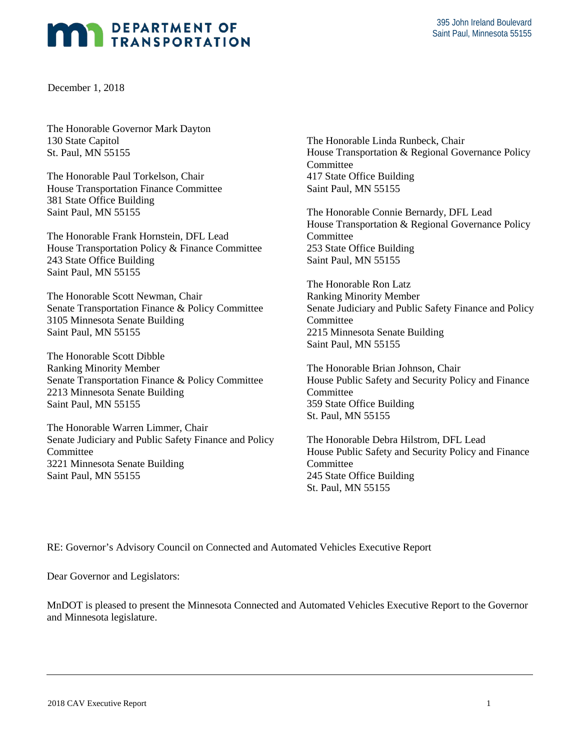## **MAN DEPARTMENT OF TRANSPORTATION**

December 1, 2018

 130 State Capitol The Honorable Governor Mark Dayton St. Paul, MN 55155

The Honorable Paul Torkelson, Chair House Transportation Finance Committee 381 State Office Building Saint Paul, MN 55155

The Honorable Frank Hornstein, DFL Lead House Transportation Policy & Finance Committee 243 State Office Building Saint Paul, MN 55155

The Honorable Scott Newman, Chair 3105 Minnesota Senate Building Senate Transportation Finance & Policy Committee Saint Paul, MN 55155

The Honorable Scott Dibble Senate Transportation Finance & Policy Committee 2213 Minnesota Senate Building 2213 Minnesota Senate Building Ranking Minority Member Saint Paul, MN 55155

 3221 Minnesota Senate Building The Honorable Warren Limmer, Chair Senate Judiciary and Public Safety Finance and Policy Committee Saint Paul, MN 55155

The Honorable Linda Runbeck, Chair House Transportation & Regional Governance Policy Committee 417 State Office Building Saint Paul, MN 55155

The Honorable Connie Bernardy, DFL Lead House Transportation & Regional Governance Policy **Committee** 253 State Office Building Saint Paul, MN 55155

The Honorable Ron Latz Ranking Minority Member Senate Judiciary and Public Safety Finance and Policy Committee 2215 Minnesota Senate Building Saint Paul, MN 55155

 House Public Safety and Security Policy and Finance The Honorable Brian Johnson, Chair Committee 359 State Office Building St. Paul, MN 55155

The Honorable Debra Hilstrom, DFL Lead House Public Safety and Security Policy and Finance Committee 245 State Office Building St. Paul, MN 55155

RE: Governor's Advisory Council on Connected and Automated Vehicles Executive Report<br>Dear Governor and Legislators:

 and Minnesota legislature. MnDOT is pleased to present the Minnesota Connected and Automated Vehicles Executive Report to the Governor